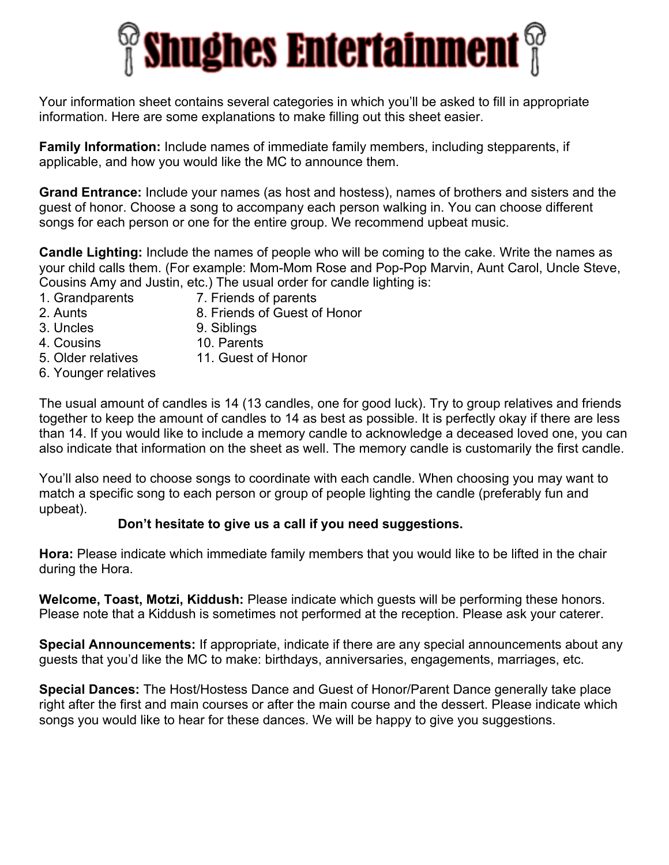

Your information sheet contains several categories in which you'll be asked to fill in appropriate information. Here are some explanations to make filling out this sheet easier.

**Family Information:** Include names of immediate family members, including stepparents, if applicable, and how you would like the MC to announce them.

**Grand Entrance:** Include your names (as host and hostess), names of brothers and sisters and the guest of honor. Choose a song to accompany each person walking in. You can choose different songs for each person or one for the entire group. We recommend upbeat music.

**Candle Lighting:** Include the names of people who will be coming to the cake. Write the names as your child calls them. (For example: Mom-Mom Rose and Pop-Pop Marvin, Aunt Carol, Uncle Steve, Cousins Amy and Justin, etc.) The usual order for candle lighting is:

- 
- 1. Grandparents 7. Friends of parents
- 
- 2. Aunts 8. Friends of Guest of Honor
- 
- 3. Uncles 9. Siblings
- 4. Cousins 10. Parents
- 5. Older relatives 11. Guest of Honor
- 6. Younger relatives

The usual amount of candles is 14 (13 candles, one for good luck). Try to group relatives and friends together to keep the amount of candles to 14 as best as possible. It is perfectly okay if there are less than 14. If you would like to include a memory candle to acknowledge a deceased loved one, you can also indicate that information on the sheet as well. The memory candle is customarily the first candle.

You'll also need to choose songs to coordinate with each candle. When choosing you may want to match a specific song to each person or group of people lighting the candle (preferably fun and upbeat).

#### **Don't hesitate to give us a call if you need suggestions.**

**Hora:** Please indicate which immediate family members that you would like to be lifted in the chair during the Hora.

**Welcome, Toast, Motzi, Kiddush:** Please indicate which guests will be performing these honors. Please note that a Kiddush is sometimes not performed at the reception. Please ask your caterer.

**Special Announcements:** If appropriate, indicate if there are any special announcements about any guests that you'd like the MC to make: birthdays, anniversaries, engagements, marriages, etc.

**Special Dances:** The Host/Hostess Dance and Guest of Honor/Parent Dance generally take place right after the first and main courses or after the main course and the dessert. Please indicate which songs you would like to hear for these dances. We will be happy to give you suggestions.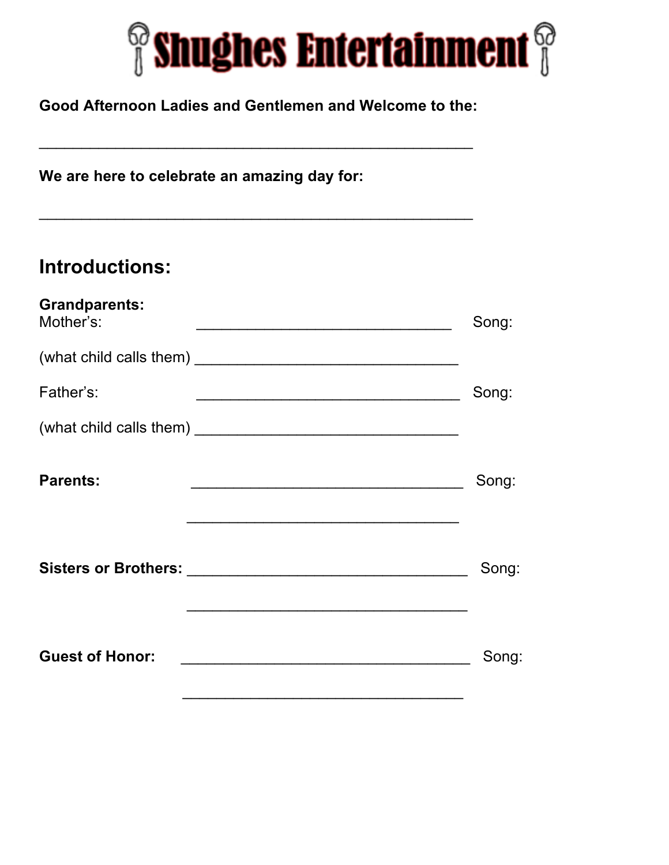

#### **Good Afternoon Ladies and Gentlemen and Welcome to the:**

\_\_\_\_\_\_\_\_\_\_\_\_\_\_\_\_\_\_\_\_\_\_\_\_\_\_\_\_\_\_\_\_\_\_\_\_\_\_\_\_\_\_\_\_\_\_\_\_\_\_\_

\_\_\_\_\_\_\_\_\_\_\_\_\_\_\_\_\_\_\_\_\_\_\_\_\_\_\_\_\_\_\_\_\_\_\_\_\_\_\_\_\_\_\_\_\_\_\_\_\_\_\_

**We are here to celebrate an amazing day for:**

# **Introductions:**

| <b>Grandparents:</b><br>Mother's: | Song: |
|-----------------------------------|-------|
|                                   |       |
| Father's:                         | Song: |
|                                   |       |
| <b>Parents:</b>                   | Song: |
|                                   | Song: |
| <b>Guest of Honor:</b>            | Song: |
|                                   |       |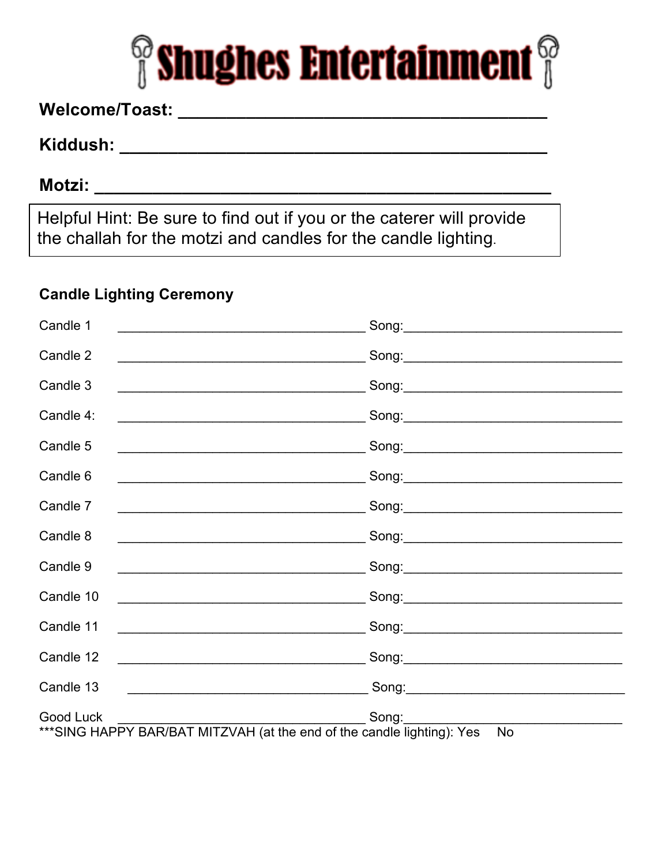

## 

### 

### 

Helpful Hint: Be sure to find out if you or the caterer will provide the challah for the motzi and candles for the candle lighting.

#### **Candle Lighting Ceremony**

| Candle 1<br><u> 1980 - Johann Barbara, martxa eta politikar</u>                                                                    |                    |
|------------------------------------------------------------------------------------------------------------------------------------|--------------------|
| Candle 2                                                                                                                           |                    |
| Candle 3                                                                                                                           |                    |
| Candle 4:<br><u> 1989 - Johann John Stein, marwolaethau (b. 1989)</u>                                                              |                    |
| Candle 5                                                                                                                           |                    |
| Candle 6<br><u> 2000 - Jan James James Jan James James James James James James James James James James James James James Jam</u>   |                    |
| Candle 7                                                                                                                           |                    |
| Candle 8<br><u> 2000 - Johann Johann Stoff, deutscher Stoffen und der Stoffen und der Stoffen und der Stoffen und der Stoffen</u>  |                    |
| Candle 9<br><u> 1989 - Johann John Stone, mars and deutscher Stone († 1951)</u>                                                    |                    |
| Candle 10                                                                                                                          |                    |
| Candle 11<br><u> 2000 - Jan James James James James James James James James James James James James James James James James J</u>  |                    |
| Candle 12<br><u> 1989 - Johann Barn, mars and de Branch Barn, mars and de Branch Barn, mars and de Branch Barn, mars and de Br</u> |                    |
| Candle 13                                                                                                                          |                    |
| Good Luck<br>*** SING HAPPY BAR/BAT MITZVAH (at the end of the candle lighting): Yes                                               | Song:<br><b>No</b> |